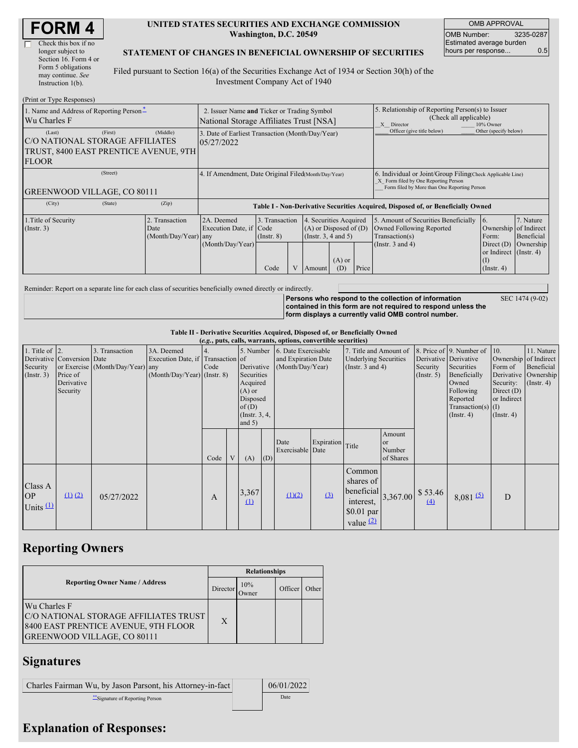| RM                   |  |
|----------------------|--|
| Check this box if no |  |

#### **UNITED STATES SECURITIES AND EXCHANGE COMMISSION Washington, D.C. 20549**

OMB APPROVAL OMB Number: 3235-0287 Estimated average burden hours per response... 0.5

SEC 1474 (9-02)

#### **STATEMENT OF CHANGES IN BENEFICIAL OWNERSHIP OF SECURITIES**

Filed pursuant to Section 16(a) of the Securities Exchange Act of 1934 or Section 30(h) of the Investment Company Act of 1940

| (Print or Type Responses)                                                                                     |                                                                                        |                                                                |                                           |  |                                                                                                                    |                                                                                                       |                                                                                                                                                    |                                                                                                             |                                                                                                                   |                                      |  |
|---------------------------------------------------------------------------------------------------------------|----------------------------------------------------------------------------------------|----------------------------------------------------------------|-------------------------------------------|--|--------------------------------------------------------------------------------------------------------------------|-------------------------------------------------------------------------------------------------------|----------------------------------------------------------------------------------------------------------------------------------------------------|-------------------------------------------------------------------------------------------------------------|-------------------------------------------------------------------------------------------------------------------|--------------------------------------|--|
| 1. Name and Address of Reporting Person-<br>Wu Charles F                                                      | 2. Issuer Name and Ticker or Trading Symbol<br>National Storage Affiliates Trust [NSA] |                                                                |                                           |  |                                                                                                                    | 5. Relationship of Reporting Person(s) to Issuer<br>(Check all applicable)<br>X Director<br>10% Owner |                                                                                                                                                    |                                                                                                             |                                                                                                                   |                                      |  |
| (First)<br>(Last)<br>C/O NATIONAL STORAGE AFFILIATES<br>TRUST, 8400 EAST PRENTICE AVENUE, 9TH<br><b>FLOOR</b> | (Middle)                                                                               | 3. Date of Earliest Transaction (Month/Day/Year)<br>05/27/2022 |                                           |  |                                                                                                                    |                                                                                                       |                                                                                                                                                    | Officer (give title below)                                                                                  | Other (specify below)                                                                                             |                                      |  |
| (Street)<br><b>GREENWOOD VILLAGE, CO 80111</b>                                                                |                                                                                        | 4. If Amendment, Date Original Filed(Month/Day/Year)           |                                           |  |                                                                                                                    |                                                                                                       | 6. Individual or Joint/Group Filing(Check Applicable Line)<br>X Form filed by One Reporting Person<br>Form filed by More than One Reporting Person |                                                                                                             |                                                                                                                   |                                      |  |
| (City)<br>(State)                                                                                             | (Zip)                                                                                  |                                                                |                                           |  |                                                                                                                    |                                                                                                       |                                                                                                                                                    | Table I - Non-Derivative Securities Acquired, Disposed of, or Beneficially Owned                            |                                                                                                                   |                                      |  |
| 1. Title of Security<br>(Insert. 3)                                                                           | 2. Transaction<br>Date<br>(Month/Day/Year) any                                         | 2A. Deemed<br>Execution Date, if Code<br>(Month/Day/Year)      | 3. Transaction<br>$($ Instr. $8)$<br>Code |  | 4. Securities Acquired<br>$(A)$ or Disposed of $(D)$<br>(Insert. 3, 4 and 5)<br>$(A)$ or<br>Price<br>(D)<br>Amount |                                                                                                       |                                                                                                                                                    | 5. Amount of Securities Beneficially<br>Owned Following Reported<br>Transaction(s)<br>(Instr. $3$ and $4$ ) | <b>16.</b><br>Ownership of Indirect<br>Form:<br>Direct $(D)$<br>or Indirect (Instr. 4)<br>(I)<br>$($ Instr. 4 $)$ | 7. Nature<br>Beneficial<br>Ownership |  |

Reminder: Report on a separate line for each class of securities beneficially owned directly or indirectly.

**Persons who respond to the collection of information contained in this form are not required to respond unless the form displays a currently valid OMB control number.**

**Table II - Derivative Securities Acquired, Disposed of, or Beneficially Owned**

| (e.g., puts, calls, warrants, options, convertible securities) |                            |                                  |                                   |           |   |                 |                     |                  |                              |                       |                       |                              |                       |                  |                  |
|----------------------------------------------------------------|----------------------------|----------------------------------|-----------------------------------|-----------|---|-----------------|---------------------|------------------|------------------------------|-----------------------|-----------------------|------------------------------|-----------------------|------------------|------------------|
| 1. Title of $ 2$ .                                             |                            | 3. Transaction                   | 3A. Deemed                        | 5. Number |   |                 | 6. Date Exercisable |                  | 7. Title and Amount of       |                       |                       | 8. Price of 9. Number of 10. |                       | 11. Nature       |                  |
|                                                                | Derivative Conversion Date |                                  | Execution Date, if Transaction of |           |   |                 | and Expiration Date |                  | <b>Underlying Securities</b> |                       | Derivative Derivative |                              | Ownership of Indirect |                  |                  |
| Security                                                       |                            | or Exercise (Month/Day/Year) any |                                   | Code      |   | Derivative      |                     | (Month/Day/Year) |                              | (Instr. $3$ and $4$ ) |                       | Security                     | Securities            | Form of          | Beneficial       |
| (Insert. 3)                                                    | Price of                   |                                  | $(Month/Day/Year)$ (Instr. 8)     |           |   | Securities      |                     |                  |                              |                       |                       | $($ Instr. 5 $)$             | Beneficially          | Derivative       | Ownership        |
|                                                                | Derivative                 |                                  |                                   |           |   | Acquired        |                     |                  |                              |                       |                       |                              | Owned                 | Security:        | $($ Instr. 4 $)$ |
|                                                                | Security                   |                                  |                                   |           |   | $(A)$ or        |                     |                  |                              |                       |                       |                              | Following             | Direct $(D)$     |                  |
|                                                                |                            |                                  |                                   |           |   | Disposed        |                     |                  |                              |                       |                       |                              | Reported              | or Indirect      |                  |
|                                                                |                            |                                  |                                   |           |   | of $(D)$        |                     |                  |                              |                       |                       |                              | $Transaction(s)$ (I)  |                  |                  |
|                                                                |                            |                                  |                                   |           |   | (Instr. $3, 4,$ |                     |                  |                              |                       |                       |                              | $($ Instr. 4 $)$      | $($ Instr. 4 $)$ |                  |
|                                                                |                            |                                  |                                   |           |   | and $5)$        |                     |                  |                              |                       |                       |                              |                       |                  |                  |
|                                                                |                            |                                  |                                   |           |   |                 |                     |                  |                              |                       | Amount                |                              |                       |                  |                  |
|                                                                |                            |                                  |                                   |           |   |                 |                     | Date             | Expiration Title             |                       | <sub>or</sub>         |                              |                       |                  |                  |
|                                                                |                            |                                  |                                   |           |   |                 |                     | Exercisable Date |                              |                       | Number                |                              |                       |                  |                  |
|                                                                |                            |                                  |                                   | Code      | V | (A)             | (D)                 |                  |                              |                       | of Shares             |                              |                       |                  |                  |
|                                                                |                            |                                  |                                   |           |   |                 |                     |                  |                              | Common                |                       |                              |                       |                  |                  |
|                                                                |                            |                                  |                                   |           |   |                 |                     |                  |                              | shares of             |                       |                              |                       |                  |                  |
| Class A                                                        |                            |                                  |                                   |           |   |                 |                     |                  |                              |                       |                       |                              |                       |                  |                  |
| <b>OP</b>                                                      | $(1)$ $(2)$                | 05/27/2022                       |                                   | A         |   | 3,367           |                     | (1)(2)           | (3)                          | beneficial            | 3,367.00              | \$53.46                      | 8,081(5)              | D                |                  |
| Units $(1)$                                                    |                            |                                  |                                   |           |   | $\Omega$        |                     |                  |                              | interest.             |                       | (4)                          |                       |                  |                  |
|                                                                |                            |                                  |                                   |           |   |                 |                     |                  |                              | $$0.01$ par           |                       |                              |                       |                  |                  |
|                                                                |                            |                                  |                                   |           |   |                 |                     |                  |                              | value $(2)$           |                       |                              |                       |                  |                  |
|                                                                |                            |                                  |                                   |           |   |                 |                     |                  |                              |                       |                       |                              |                       |                  |                  |

## **Reporting Owners**

|                                                                                                                                     | <b>Relationships</b> |              |         |       |  |  |  |
|-------------------------------------------------------------------------------------------------------------------------------------|----------------------|--------------|---------|-------|--|--|--|
| <b>Reporting Owner Name / Address</b>                                                                                               | Director             | 10%<br>Owner | Officer | Other |  |  |  |
| Wu Charles F<br>C/O NATIONAL STORAGE AFFILIATES TRUST<br>8400 EAST PRENTICE AVENUE, 9TH FLOOR<br><b>GREENWOOD VILLAGE, CO 80111</b> | X                    |              |         |       |  |  |  |

### **Signatures**

| Charles Fairman Wu, by Jason Parsont, his Attorney-in-fact | 06/01/2022 |
|------------------------------------------------------------|------------|
| Signature of Reporting Person                              | Date       |

# **Explanation of Responses:**